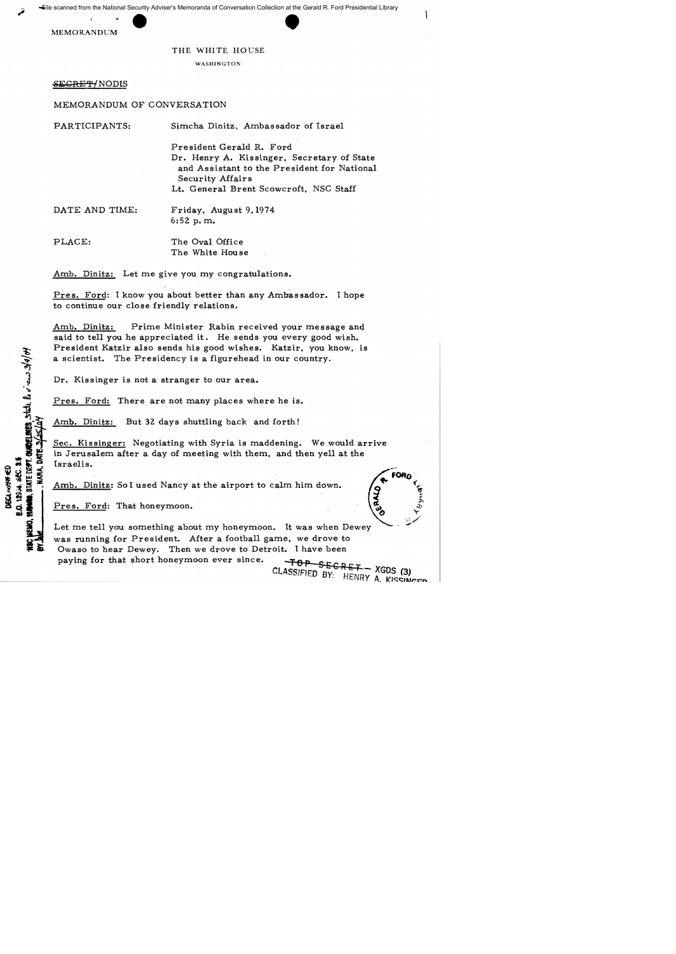

THE WHITE HOUSE

WASHINGTON

SEGRET/NODIS

## MEMORANDUM OF CONVERSATION

| PARTICIPANTS:  | Simcha Dinitz, Ambassador of Israel                                                                           |
|----------------|---------------------------------------------------------------------------------------------------------------|
|                | President Gerald R. Ford                                                                                      |
|                | Dr. Henry A. Kissinger, Secretary of State<br>and Assistant to the President for National<br>Security Affairs |
|                | Lt. General Brent Scowcroft, NSC Staff                                                                        |
| DATE AND TIME: | Friday, August 9, 1974<br>6:52 p.m.                                                                           |
| PLACE:         | The Oval Office<br>The White House                                                                            |

Amb. Dinitz: Let me give you my congratulations.

Pres. Ford: I know you about better than any Ambassador. I hope to continue our close friendly relations.

Amb. Dinitz: Prime Minister Rabin received your message and said to tell you he appreciated it. He sends you every good wish. President Katzir also sends his good wishes. Katzir. you know, is a scientist. The Presidency is a figurehead in our country.

Dr. Kissinger is not a stranger to our area.

Pres. Ford: There are not many places where he is.

Amb. Dinitz: But 32 days shuttling back and forth!

Sec. Kissinger: Negotiating with Syria is maddening. We would arrive in Jerusalem after a day of meeting with them, and then yell at the Israelis.

Amb. Dinitz: So I used Nancy at the airport to calm him down.

Pres. Ford: That honeymoon.

STATE DENT. OURDELINES, State le viens 3/4/04

E.O. 12934, 3EC. 3.5 DECL+ONFIED

**DATE 34** 

Let me tell you something about my honeymoon. It was when Dewey was running for President. After a football game, we drove to Owaso to hear Dewey. Then we drove to Detroit. I have been paying for that short honeymoon ever since.

<del>TOP SECRET -</del> XGDS (3) CLASSIFIED BY: HENRY A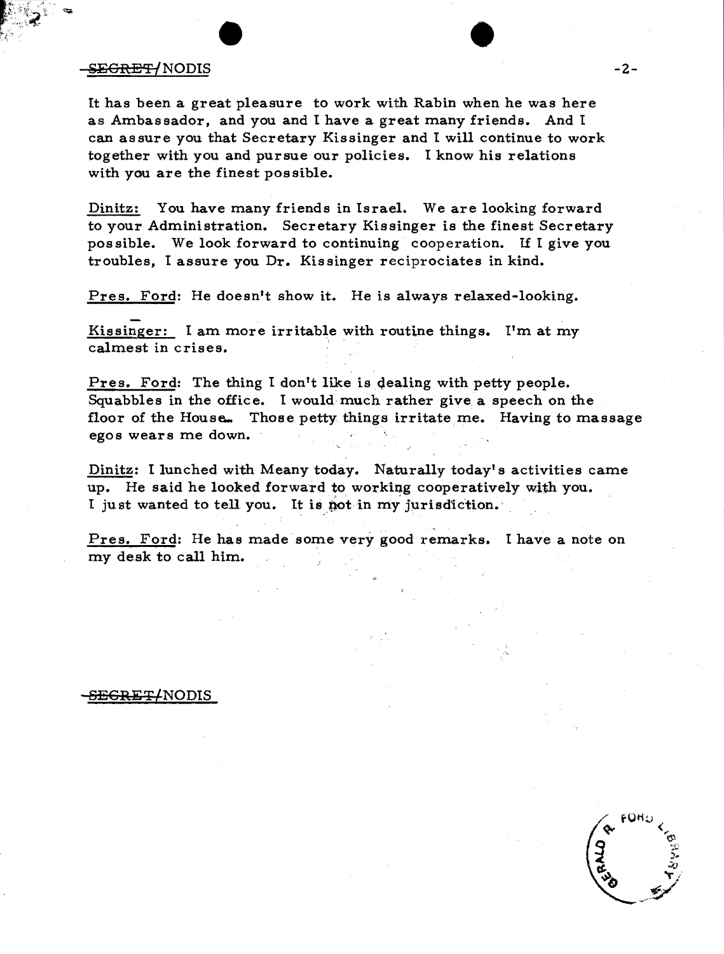## SEGRET/NODIS

It has been a great pleasure to work with Rabin when he was here as Ambassador, and you and I have a great many friends. And I can assure you that Secretary Kissinger and I will continue to work together with you and pursue our policies. I know his relations with you are the finest possible.

Dinitz: You have many friends in Israel. We are looking forward to your Administration. Secretary Kissinger is the finest Secretary possible. We look forward to continuing cooperation. If I give you troubles, I assure you Dr. Kissinger reciprociates in kind.

Pres. Ford: He doesn't show it. He is always relaxed-looking.

Kissinger: I am more irritable with routine things. I'm at my calmest in crises. .

Pres. Ford: The thing I don't like is dealing with petty people. Squabbles in the office. I would much rather give a speech on the floor of the House... Those petty things irritate me. Having to massage egos wears me down.

Dinitz: I lunched with Meany today. Naturally today's activities came up. He said he looked forward to working cooperatively with you. I just wanted to tell you. It is not in my jurisdiction.

Pres. Ford: He has made some very good remarks. I have a note on my desk to call him.

## <del>SECRET/</del>NODIS



-2-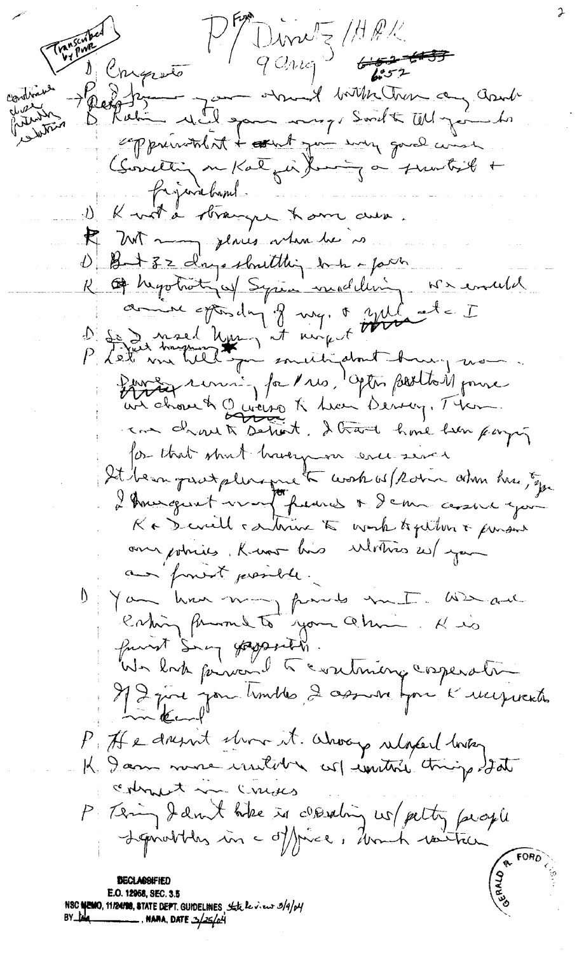Dinne (HRK  $q$  ang  $\frac{1}{2}$  $6.2 - 6.33$ Conqueto and with them any cant Will game muz Swelt Why going exppressioned it + attent you want good wind (Societing on Kalgin) boring on function + Projectement K wit a branque have aux. Et 2017 mars jeunes votes de 10 R of hypotratinal Syria modeling we enable comme spondy of my, & yul at = I D'Es Insel Uni, et august With and Sur drove à Guerre à tres deptes partir pour for that short havergum ever sever It been protplement work of Robin adm hus Ep I Americant vers francs + Schn assure you Ka Devill carterine to work together & person one potries, Know his Mothers 25/ your and from it presider. You have mont franks and and eating from to your almin funit Say gaparette.<br>We look pervent to continuing corperation Il 2 juil jour timbles, 2 assure pour le recepiration P. He doesn't chose it. Whoover relaxed looking K Dann more initive col initial trings Isat comment in cruses P : Téring Jamit hike is cleating us/ petty people E.O. 12958, SEC. 3.5 **NSC NEMO, 11/24/98, STATE DEPT. GUIDELINES, State le vieux 3/4/p4** 

..., NANA, DATE 3/25/04